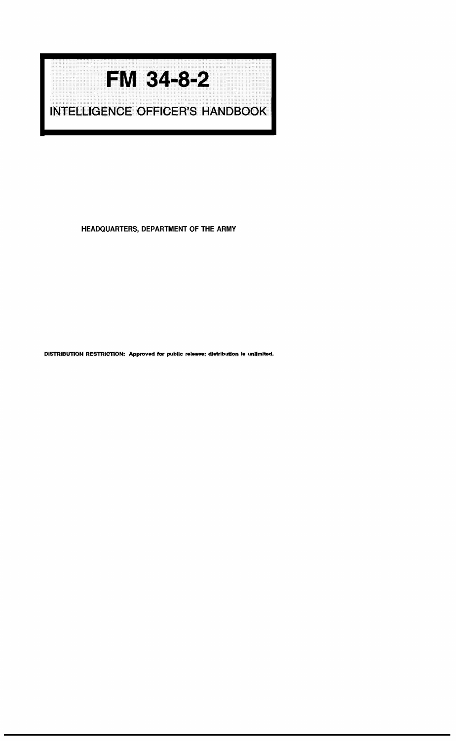## **FM 34-8-2**

**INTELLIGENCE OFFICER'S HANDBOOK** 

HEADQUARTERS, DEPARTMENT OF THE ARMY

DISTRIBUTION RESTRICTION: Approved for public release; distribution is unlimited.